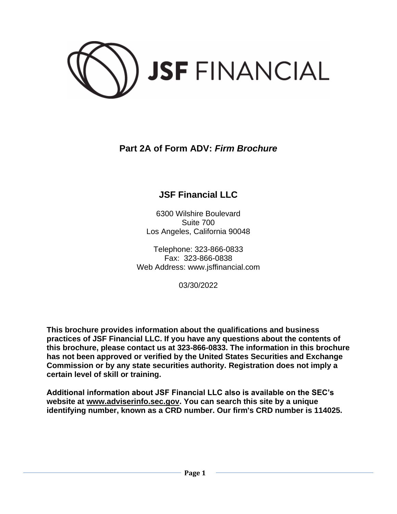

**Part 2A of Form ADV:** *Firm Brochure*

# **JSF Financial LLC**

6300 Wilshire Boulevard Suite 700 Los Angeles, California 90048

Telephone: 323-866-0833 Fax: 323-866-0838 Web Address: www.jsffinancial.com

03/30/2022

**This brochure provides information about the qualifications and business practices of JSF Financial LLC. If you have any questions about the contents of this brochure, please contact us at 323-866-0833. The information in this brochure has not been approved or verified by the United States Securities and Exchange Commission or by any state securities authority. Registration does not imply a certain level of skill or training.**

**Additional information about JSF Financial LLC also is available on the SEC's website at www.adviserinfo.sec.gov. You can search this site by a unique identifying number, known as a CRD number. Our firm's CRD number is 114025.**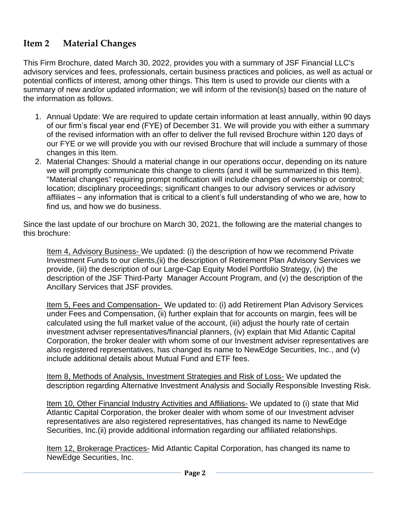# <span id="page-1-0"></span>**Item 2 Material Changes**

This Firm Brochure, dated March 30, 2022, provides you with a summary of JSF Financial LLC's advisory services and fees, professionals, certain business practices and policies, as well as actual or potential conflicts of interest, among other things. This Item is used to provide our clients with a summary of new and/or updated information; we will inform of the revision(s) based on the nature of the information as follows.

- 1. Annual Update: We are required to update certain information at least annually, within 90 days of our firm's fiscal year end (FYE) of December 31. We will provide you with either a summary of the revised information with an offer to deliver the full revised Brochure within 120 days of our FYE or we will provide you with our revised Brochure that will include a summary of those changes in this Item.
- 2. Material Changes: Should a material change in our operations occur, depending on its nature we will promptly communicate this change to clients (and it will be summarized in this Item). "Material changes" requiring prompt notification will include changes of ownership or control; location; disciplinary proceedings; significant changes to our advisory services or advisory affiliates – any information that is critical to a client's full understanding of who we are, how to find us, and how we do business.

Since the last update of our brochure on March 30, 2021, the following are the material changes to this brochure:

Item 4, Advisory Business- We updated: (i) the description of how we recommend Private Investment Funds to our clients,(ii) the description of Retirement Plan Advisory Services we provide, (iii) the description of our Large-Cap Equity Model Portfolio Strategy, (iv) the description of the JSF Third-Party Manager Account Program, and (v) the description of the Ancillary Services that JSF provides.

Item 5, Fees and Compensation- We updated to: (i) add Retirement Plan Advisory Services under Fees and Compensation, (ii) further explain that for accounts on margin, fees will be calculated using the full market value of the account, (iii) adjust the hourly rate of certain investment adviser representatives/financial planners, (iv) explain that Mid Atlantic Capital Corporation, the broker dealer with whom some of our Investment adviser representatives are also registered representatives, has changed its name to NewEdge Securities, Inc., and (v) include additional details about Mutual Fund and ETF fees.

Item 8, Methods of Analysis, Investment Strategies and Risk of Loss- We updated the description regarding Alternative Investment Analysis and Socially Responsible Investing Risk.

Item 10, Other Financial Industry Activities and Affiliations- We updated to (i) state that Mid Atlantic Capital Corporation, the broker dealer with whom some of our Investment adviser representatives are also registered representatives, has changed its name to NewEdge Securities, Inc.(ii) provide additional information regarding our affiliated relationships.

Item 12, Brokerage Practices- Mid Atlantic Capital Corporation, has changed its name to NewEdge Securities, Inc.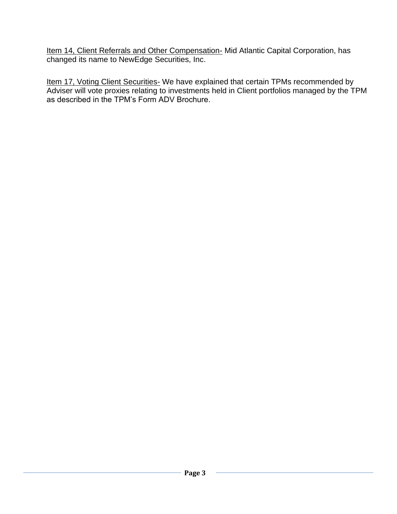Item 14, Client Referrals and Other Compensation- Mid Atlantic Capital Corporation, has changed its name to NewEdge Securities, Inc.

<span id="page-2-0"></span>Item 17, Voting Client Securities- We have explained that certain TPMs recommended by Adviser will vote proxies relating to investments held in Client portfolios managed by the TPM as described in the TPM's Form ADV Brochure.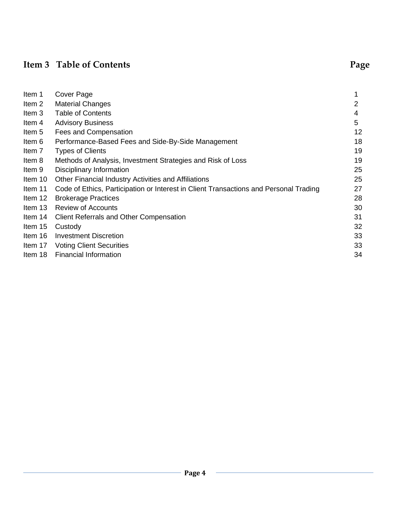# **Item 3 Table of Contents Page**

| Cover Page                                                                            |    |
|---------------------------------------------------------------------------------------|----|
| <b>Material Changes</b>                                                               | 2  |
| <b>Table of Contents</b>                                                              | 4  |
| <b>Advisory Business</b>                                                              | 5  |
| Fees and Compensation                                                                 | 12 |
| Performance-Based Fees and Side-By-Side Management                                    | 18 |
| <b>Types of Clients</b>                                                               | 19 |
| Methods of Analysis, Investment Strategies and Risk of Loss                           | 19 |
| Disciplinary Information                                                              | 25 |
| Other Financial Industry Activities and Affiliations                                  | 25 |
| Code of Ethics, Participation or Interest in Client Transactions and Personal Trading | 27 |
| <b>Brokerage Practices</b>                                                            | 28 |
| <b>Review of Accounts</b>                                                             | 30 |
| <b>Client Referrals and Other Compensation</b>                                        | 31 |
| Custody                                                                               | 32 |
| <b>Investment Discretion</b>                                                          | 33 |
| <b>Voting Client Securities</b>                                                       | 33 |
| <b>Financial Information</b>                                                          | 34 |
|                                                                                       |    |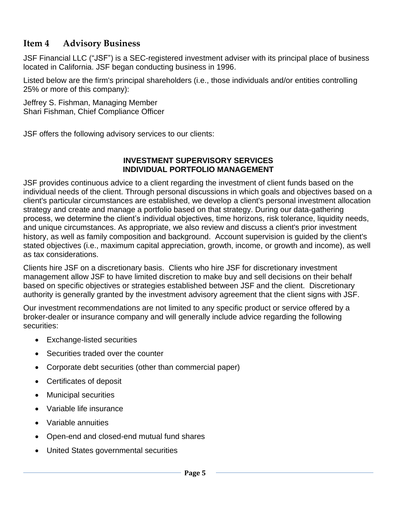## <span id="page-4-0"></span>**Item 4 Advisory Business**

JSF Financial LLC ("JSF") is a SEC-registered investment adviser with its principal place of business located in California. JSF began conducting business in 1996.

Listed below are the firm's principal shareholders (i.e., those individuals and/or entities controlling 25% or more of this company):

Jeffrey S. Fishman, Managing Member Shari Fishman, Chief Compliance Officer

JSF offers the following advisory services to our clients:

#### **INVESTMENT SUPERVISORY SERVICES INDIVIDUAL PORTFOLIO MANAGEMENT**

JSF provides continuous advice to a client regarding the investment of client funds based on the individual needs of the client. Through personal discussions in which goals and objectives based on a client's particular circumstances are established, we develop a client's personal investment allocation strategy and create and manage a portfolio based on that strategy. During our data-gathering process, we determine the client's individual objectives, time horizons, risk tolerance, liquidity needs, and unique circumstances. As appropriate, we also review and discuss a client's prior investment history, as well as family composition and background. Account supervision is guided by the client's stated objectives (i.e., maximum capital appreciation, growth, income, or growth and income), as well as tax considerations.

Clients hire JSF on a discretionary basis. Clients who hire JSF for discretionary investment management allow JSF to have limited discretion to make buy and sell decisions on their behalf based on specific objectives or strategies established between JSF and the client. Discretionary authority is generally granted by the investment advisory agreement that the client signs with JSF.

Our investment recommendations are not limited to any specific product or service offered by a broker-dealer or insurance company and will generally include advice regarding the following securities:

- Exchange-listed securities
- Securities traded over the counter
- Corporate debt securities (other than commercial paper)
- Certificates of deposit
- Municipal securities
- Variable life insurance
- Variable annuities
- Open-end and closed-end mutual fund shares
- United States governmental securities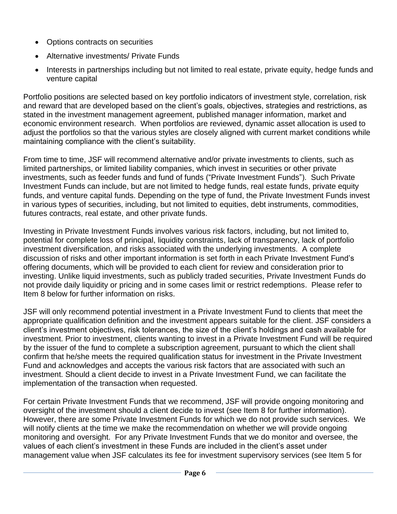- Options contracts on securities
- Alternative investments/ Private Funds
- Interests in partnerships including but not limited to real estate, private equity, hedge funds and venture capital

Portfolio positions are selected based on key portfolio indicators of investment style, correlation, risk and reward that are developed based on the client's goals, objectives, strategies and restrictions, as stated in the investment management agreement, published manager information, market and economic environment research. When portfolios are reviewed, dynamic asset allocation is used to adjust the portfolios so that the various styles are closely aligned with current market conditions while maintaining compliance with the client's suitability.

From time to time, JSF will recommend alternative and/or private investments to clients, such as limited partnerships, or limited liability companies, which invest in securities or other private investments, such as feeder funds and fund of funds ("Private Investment Funds"). Such Private Investment Funds can include, but are not limited to hedge funds, real estate funds, private equity funds, and venture capital funds. Depending on the type of fund, the Private Investment Funds invest in various types of securities, including, but not limited to equities, debt instruments, commodities, futures contracts, real estate, and other private funds.

Investing in Private Investment Funds involves various risk factors, including, but not limited to, potential for complete loss of principal, liquidity constraints, lack of transparency, lack of portfolio investment diversification, and risks associated with the underlying investments. A complete discussion of risks and other important information is set forth in each Private Investment Fund's offering documents, which will be provided to each client for review and consideration prior to investing. Unlike liquid investments, such as publicly traded securities, Private Investment Funds do not provide daily liquidity or pricing and in some cases limit or restrict redemptions. Please refer to Item 8 below for further information on risks.

JSF will only recommend potential investment in a Private Investment Fund to clients that meet the appropriate qualification definition and the investment appears suitable for the client. JSF considers a client's investment objectives, risk tolerances, the size of the client's holdings and cash available for investment. Prior to investment, clients wanting to invest in a Private Investment Fund will be required by the issuer of the fund to complete a subscription agreement, pursuant to which the client shall confirm that he/she meets the required qualification status for investment in the Private Investment Fund and acknowledges and accepts the various risk factors that are associated with such an investment. Should a client decide to invest in a Private Investment Fund, we can facilitate the implementation of the transaction when requested.

For certain Private Investment Funds that we recommend, JSF will provide ongoing monitoring and oversight of the investment should a client decide to invest (see Item 8 for further information). However, there are some Private Investment Funds for which we do not provide such services. We will notify clients at the time we make the recommendation on whether we will provide ongoing monitoring and oversight. For any Private Investment Funds that we do monitor and oversee, the values of each client's investment in these Funds are included in the client's asset under management value when JSF calculates its fee for investment supervisory services (see Item 5 for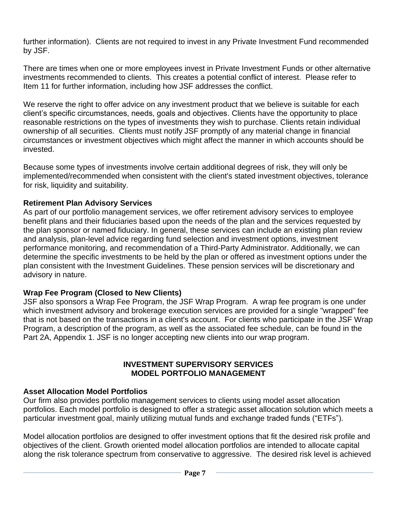further information). Clients are not required to invest in any Private Investment Fund recommended by JSF.

There are times when one or more employees invest in Private Investment Funds or other alternative investments recommended to clients. This creates a potential conflict of interest. Please refer to Item 11 for further information, including how JSF addresses the conflict.

We reserve the right to offer advice on any investment product that we believe is suitable for each client's specific circumstances, needs, goals and objectives. Clients have the opportunity to place reasonable restrictions on the types of investments they wish to purchase. Clients retain individual ownership of all securities. Clients must notify JSF promptly of any material change in financial circumstances or investment objectives which might affect the manner in which accounts should be invested.

Because some types of investments involve certain additional degrees of risk, they will only be implemented/recommended when consistent with the client's stated investment objectives, tolerance for risk, liquidity and suitability.

## **Retirement Plan Advisory Services**

As part of our portfolio management services, we offer retirement advisory services to employee benefit plans and their fiduciaries based upon the needs of the plan and the services requested by the plan sponsor or named fiduciary. In general, these services can include an existing plan review and analysis, plan-level advice regarding fund selection and investment options, investment performance monitoring, and recommendation of a Third-Party Administrator. Additionally, we can determine the specific investments to be held by the plan or offered as investment options under the plan consistent with the Investment Guidelines. These pension services will be discretionary and advisory in nature.

## **Wrap Fee Program (Closed to New Clients)**

JSF also sponsors a Wrap Fee Program, the JSF Wrap Program. A wrap fee program is one under which investment advisory and brokerage execution services are provided for a single "wrapped" fee that is not based on the transactions in a client's account. For clients who participate in the JSF Wrap Program, a description of the program, as well as the associated fee schedule, can be found in the Part 2A, Appendix 1. JSF is no longer accepting new clients into our wrap program.

#### **INVESTMENT SUPERVISORY SERVICES MODEL PORTFOLIO MANAGEMENT**

#### **Asset Allocation Model Portfolios**

Our firm also provides portfolio management services to clients using model asset allocation portfolios. Each model portfolio is designed to offer a strategic asset allocation solution which meets a particular investment goal, mainly utilizing mutual funds and exchange traded funds ("ETFs").

Model allocation portfolios are designed to offer investment options that fit the desired risk profile and objectives of the client. Growth oriented model allocation portfolios are intended to allocate capital along the risk tolerance spectrum from conservative to aggressive. The desired risk level is achieved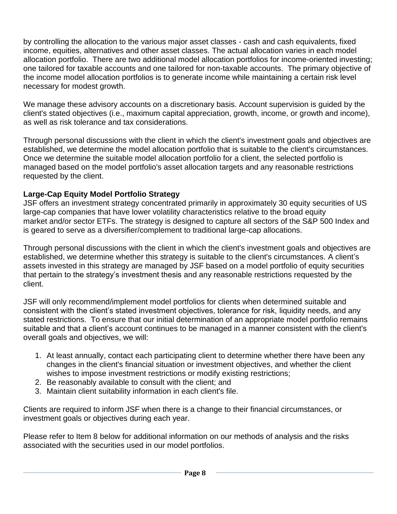by controlling the allocation to the various major asset classes - cash and cash equivalents, fixed income, equities, alternatives and other asset classes. The actual allocation varies in each model allocation portfolio. There are two additional model allocation portfolios for income-oriented investing; one tailored for taxable accounts and one tailored for non-taxable accounts. The primary objective of the income model allocation portfolios is to generate income while maintaining a certain risk level necessary for modest growth.

We manage these advisory accounts on a discretionary basis. Account supervision is guided by the client's stated objectives (i.e., maximum capital appreciation, growth, income, or growth and income), as well as risk tolerance and tax considerations.

Through personal discussions with the client in which the client's investment goals and objectives are established, we determine the model allocation portfolio that is suitable to the client's circumstances. Once we determine the suitable model allocation portfolio for a client, the selected portfolio is managed based on the model portfolio's asset allocation targets and any reasonable restrictions requested by the client.

## **Large-Cap Equity Model Portfolio Strategy**

JSF offers an investment strategy concentrated primarily in approximately 30 equity securities of US large-cap companies that have lower volatility characteristics relative to the broad equity market and/or sector ETFs. The strategy is designed to capture all sectors of the S&P 500 Index and is geared to serve as a diversifier/complement to traditional large-cap allocations.

Through personal discussions with the client in which the client's investment goals and objectives are established, we determine whether this strategy is suitable to the client's circumstances. A client's assets invested in this strategy are managed by JSF based on a model portfolio of equity securities that pertain to the strategy's investment thesis and any reasonable restrictions requested by the client.

JSF will only recommend/implement model portfolios for clients when determined suitable and consistent with the client's stated investment objectives, tolerance for risk, liquidity needs, and any stated restrictions. To ensure that our initial determination of an appropriate model portfolio remains suitable and that a client's account continues to be managed in a manner consistent with the client's overall goals and objectives, we will:

- 1. At least annually, contact each participating client to determine whether there have been any changes in the client's financial situation or investment objectives, and whether the client wishes to impose investment restrictions or modify existing restrictions;
- 2. Be reasonably available to consult with the client; and
- 3. Maintain client suitability information in each client's file.

Clients are required to inform JSF when there is a change to their financial circumstances, or investment goals or objectives during each year.

Please refer to Item 8 below for additional information on our methods of analysis and the risks associated with the securities used in our model portfolios.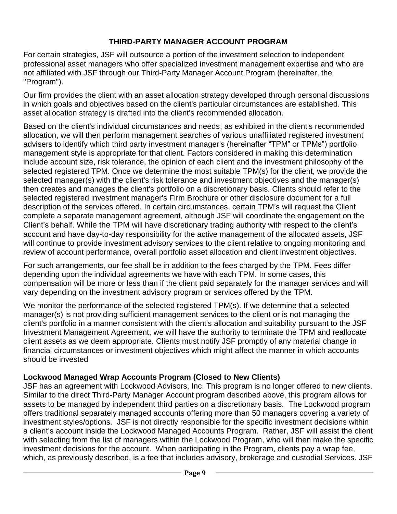## **THIRD-PARTY MANAGER ACCOUNT PROGRAM**

For certain strategies, JSF will outsource a portion of the investment selection to independent professional asset managers who offer specialized investment management expertise and who are not affiliated with JSF through our Third-Party Manager Account Program (hereinafter, the "Program").

Our firm provides the client with an asset allocation strategy developed through personal discussions in which goals and objectives based on the client's particular circumstances are established. This asset allocation strategy is drafted into the client's recommended allocation.

Based on the client's individual circumstances and needs, as exhibited in the client's recommended allocation, we will then perform management searches of various unaffiliated registered investment advisers to identify which third party investment manager's (hereinafter "TPM" or TPMs") portfolio management style is appropriate for that client. Factors considered in making this determination include account size, risk tolerance, the opinion of each client and the investment philosophy of the selected registered TPM. Once we determine the most suitable TPM(s) for the client, we provide the selected manager(s) with the client's risk tolerance and investment objectives and the manager(s) then creates and manages the client's portfolio on a discretionary basis. Clients should refer to the selected registered investment manager's Firm Brochure or other disclosure document for a full description of the services offered. In certain circumstances, certain TPM's will request the Client complete a separate management agreement, although JSF will coordinate the engagement on the Client's behalf. While the TPM will have discretionary trading authority with respect to the client's account and have day-to-day responsibility for the active management of the allocated assets, JSF will continue to provide investment advisory services to the client relative to ongoing monitoring and review of account performance, overall portfolio asset allocation and client investment objectives.

For such arrangements, our fee shall be in addition to the fees charged by the TPM. Fees differ depending upon the individual agreements we have with each TPM. In some cases, this compensation will be more or less than if the client paid separately for the manager services and will vary depending on the investment advisory program or services offered by the TPM.

We monitor the performance of the selected registered TPM(s). If we determine that a selected manager(s) is not providing sufficient management services to the client or is not managing the client's portfolio in a manner consistent with the client's allocation and suitability pursuant to the JSF Investment Management Agreement, we will have the authority to terminate the TPM and reallocate client assets as we deem appropriate. Clients must notify JSF promptly of any material change in financial circumstances or investment objectives which might affect the manner in which accounts should be invested

## **Lockwood Managed Wrap Accounts Program (Closed to New Clients)**

JSF has an agreement with Lockwood Advisors, Inc. This program is no longer offered to new clients. Similar to the direct Third-Party Manager Account program described above, this program allows for assets to be managed by independent third parties on a discretionary basis. The Lockwood program offers traditional separately managed accounts offering more than 50 managers covering a variety of investment styles/options. JSF is not directly responsible for the specific investment decisions within a client's account inside the Lockwood Managed Accounts Program. Rather, JSF will assist the client with selecting from the list of managers within the Lockwood Program, who will then make the specific investment decisions for the account. When participating in the Program, clients pay a wrap fee, which, as previously described, is a fee that includes advisory, brokerage and custodial Services. JSF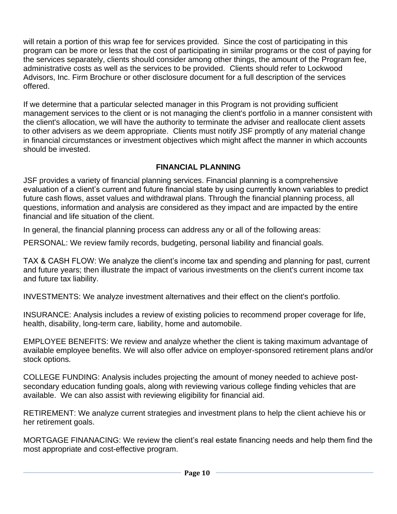will retain a portion of this wrap fee for services provided. Since the cost of participating in this program can be more or less that the cost of participating in similar programs or the cost of paying for the services separately, clients should consider among other things, the amount of the Program fee, administrative costs as well as the services to be provided. Clients should refer to Lockwood Advisors, Inc. Firm Brochure or other disclosure document for a full description of the services offered.

If we determine that a particular selected manager in this Program is not providing sufficient management services to the client or is not managing the client's portfolio in a manner consistent with the client's allocation, we will have the authority to terminate the adviser and reallocate client assets to other advisers as we deem appropriate. Clients must notify JSF promptly of any material change in financial circumstances or investment objectives which might affect the manner in which accounts should be invested.

## **FINANCIAL PLANNING**

JSF provides a variety of financial planning services. Financial planning is a comprehensive evaluation of a client's current and future financial state by using currently known variables to predict future cash flows, asset values and withdrawal plans. Through the financial planning process, all questions, information and analysis are considered as they impact and are impacted by the entire financial and life situation of the client.

In general, the financial planning process can address any or all of the following areas:

PERSONAL: We review family records, budgeting, personal liability and financial goals.

TAX & CASH FLOW: We analyze the client's income tax and spending and planning for past, current and future years; then illustrate the impact of various investments on the client's current income tax and future tax liability.

INVESTMENTS: We analyze investment alternatives and their effect on the client's portfolio.

INSURANCE: Analysis includes a review of existing policies to recommend proper coverage for life, health, disability, long-term care, liability, home and automobile.

EMPLOYEE BENEFITS: We review and analyze whether the client is taking maximum advantage of available employee benefits. We will also offer advice on employer-sponsored retirement plans and/or stock options.

COLLEGE FUNDING: Analysis includes projecting the amount of money needed to achieve postsecondary education funding goals, along with reviewing various college finding vehicles that are available. We can also assist with reviewing eligibility for financial aid.

RETIREMENT: We analyze current strategies and investment plans to help the client achieve his or her retirement goals.

MORTGAGE FINANACING: We review the client's real estate financing needs and help them find the most appropriate and cost-effective program.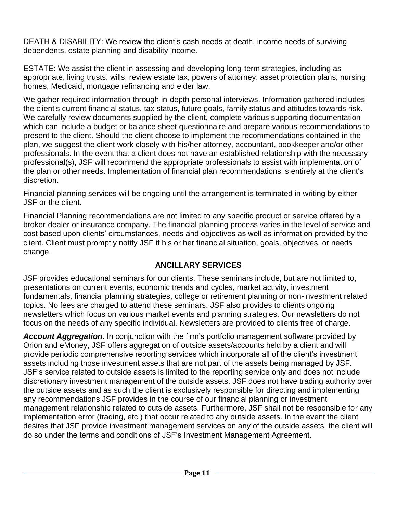DEATH & DISABILITY: We review the client's cash needs at death, income needs of surviving dependents, estate planning and disability income.

ESTATE: We assist the client in assessing and developing long-term strategies, including as appropriate, living trusts, wills, review estate tax, powers of attorney, asset protection plans, nursing homes, Medicaid, mortgage refinancing and elder law.

We gather required information through in-depth personal interviews. Information gathered includes the client's current financial status, tax status, future goals, family status and attitudes towards risk. We carefully review documents supplied by the client, complete various supporting documentation which can include a budget or balance sheet questionnaire and prepare various recommendations to present to the client. Should the client choose to implement the recommendations contained in the plan, we suggest the client work closely with his/her attorney, accountant, bookkeeper and/or other professionals. In the event that a client does not have an established relationship with the necessary professional(s), JSF will recommend the appropriate professionals to assist with implementation of the plan or other needs. Implementation of financial plan recommendations is entirely at the client's discretion.

Financial planning services will be ongoing until the arrangement is terminated in writing by either JSF or the client.

Financial Planning recommendations are not limited to any specific product or service offered by a broker-dealer or insurance company. The financial planning process varies in the level of service and cost based upon clients' circumstances, needs and objectives as well as information provided by the client. Client must promptly notify JSF if his or her financial situation, goals, objectives, or needs change.

## **ANCILLARY SERVICES**

JSF provides educational seminars for our clients. These seminars include, but are not limited to, presentations on current events, economic trends and cycles, market activity, investment fundamentals, financial planning strategies, college or retirement planning or non-investment related topics. No fees are charged to attend these seminars. JSF also provides to clients ongoing newsletters which focus on various market events and planning strategies. Our newsletters do not focus on the needs of any specific individual. Newsletters are provided to clients free of charge.

*Account Aggregation*. In conjunction with the firm's portfolio management software provided by Orion and eMoney, JSF offers aggregation of outside assets/accounts held by a client and will provide periodic comprehensive reporting services which incorporate all of the client's investment assets including those investment assets that are not part of the assets being managed by JSF. JSF's service related to outside assets is limited to the reporting service only and does not include discretionary investment management of the outside assets. JSF does not have trading authority over the outside assets and as such the client is exclusively responsible for directing and implementing any recommendations JSF provides in the course of our financial planning or investment management relationship related to outside assets. Furthermore, JSF shall not be responsible for any implementation error (trading, etc.) that occur related to any outside assets. In the event the client desires that JSF provide investment management services on any of the outside assets, the client will do so under the terms and conditions of JSF's Investment Management Agreement.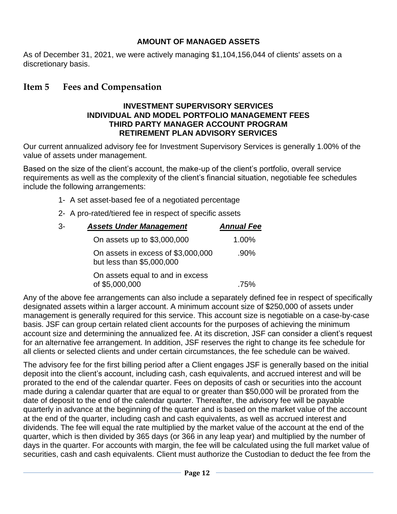#### **AMOUNT OF MANAGED ASSETS**

As of December 31, 2021, we were actively managing \$1,104,156,044 of clients' assets on a discretionary basis.

## <span id="page-11-0"></span>**Item 5 Fees and Compensation**

#### **INVESTMENT SUPERVISORY SERVICES INDIVIDUAL AND MODEL PORTFOLIO MANAGEMENT FEES THIRD PARTY MANAGER ACCOUNT PROGRAM RETIREMENT PLAN ADVISORY SERVICES**

Our current annualized advisory fee for Investment Supervisory Services is generally 1.00% of the value of assets under management.

Based on the size of the client's account, the make-up of the client's portfolio, overall service requirements as well as the complexity of the client's financial situation, negotiable fee schedules include the following arrangements:

- 1- A set asset-based fee of a negotiated percentage
- 2- A pro-rated/tiered fee in respect of specific assets

| $3-$ | <b>Assets Under Management</b>                                  | <b>Annual Fee</b> |
|------|-----------------------------------------------------------------|-------------------|
|      | On assets up to \$3,000,000                                     | 1.00%             |
|      | On assets in excess of \$3,000,000<br>but less than \$5,000,000 | $.90\%$           |
|      | On assets equal to and in excess<br>of \$5,000,000              | .75%              |

Any of the above fee arrangements can also include a separately defined fee in respect of specifically designated assets within a larger account. A minimum account size of \$250,000 of assets under management is generally required for this service. This account size is negotiable on a case-by-case basis. JSF can group certain related client accounts for the purposes of achieving the minimum account size and determining the annualized fee. At its discretion, JSF can consider a client's request for an alternative fee arrangement. In addition, JSF reserves the right to change its fee schedule for all clients or selected clients and under certain circumstances, the fee schedule can be waived.

The advisory fee for the first billing period after a Client engages JSF is generally based on the initial deposit into the client's account, including cash, cash equivalents, and accrued interest and will be prorated to the end of the calendar quarter. Fees on deposits of cash or securities into the account made during a calendar quarter that are equal to or greater than \$50,000 will be prorated from the date of deposit to the end of the calendar quarter. Thereafter, the advisory fee will be payable quarterly in advance at the beginning of the quarter and is based on the market value of the account at the end of the quarter, including cash and cash equivalents, as well as accrued interest and dividends. The fee will equal the rate multiplied by the market value of the account at the end of the quarter, which is then divided by 365 days (or 366 in any leap year) and multiplied by the number of days in the quarter. For accounts with margin, the fee will be calculated using the full market value of securities, cash and cash equivalents. Client must authorize the Custodian to deduct the fee from the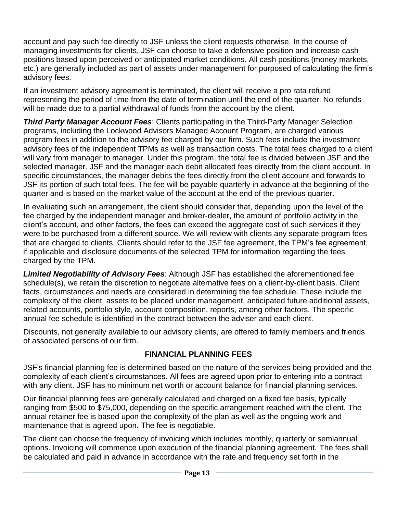account and pay such fee directly to JSF unless the client requests otherwise. In the course of managing investments for clients, JSF can choose to take a defensive position and increase cash positions based upon perceived or anticipated market conditions. All cash positions (money markets, etc.) are generally included as part of assets under management for purposed of calculating the firm's advisory fees.

If an investment advisory agreement is terminated, the client will receive a pro rata refund representing the period of time from the date of termination until the end of the quarter. No refunds will be made due to a partial withdrawal of funds from the account by the client.

**Third Party Manager Account Fees**: Clients participating in the Third-Party Manager Selection programs, including the Lockwood Advisors Managed Account Program, are charged various program fees in addition to the advisory fee charged by our firm. Such fees include the investment advisory fees of the independent TPMs as well as transaction costs. The total fees charged to a client will vary from manager to manager. Under this program, the total fee is divided between JSF and the selected manager. JSF and the manager each debit allocated fees directly from the client account. In specific circumstances, the manager debits the fees directly from the client account and forwards to JSF its portion of such total fees. The fee will be payable quarterly in advance at the beginning of the quarter and is based on the market value of the account at the end of the previous quarter.

In evaluating such an arrangement, the client should consider that, depending upon the level of the fee charged by the independent manager and broker-dealer, the amount of portfolio activity in the client's account, and other factors, the fees can exceed the aggregate cost of such services if they were to be purchased from a different source. We will review with clients any separate program fees that are charged to clients. Clients should refer to the JSF fee agreement, the TPM's fee agreement, if applicable and disclosure documents of the selected TPM for information regarding the fees charged by the TPM.

*Limited Negotiability of Advisory Fees*: Although JSF has established the aforementioned fee schedule(s), we retain the discretion to negotiate alternative fees on a client-by-client basis. Client facts, circumstances and needs are considered in determining the fee schedule. These include the complexity of the client, assets to be placed under management, anticipated future additional assets, related accounts, portfolio style, account composition, reports, among other factors. The specific annual fee schedule is identified in the contract between the adviser and each client.

Discounts, not generally available to our advisory clients, are offered to family members and friends of associated persons of our firm.

## **FINANCIAL PLANNING FEES**

JSF's financial planning fee is determined based on the nature of the services being provided and the complexity of each client's circumstances. All fees are agreed upon prior to entering into a contract with any client. JSF has no minimum net worth or account balance for financial planning services.

Our financial planning fees are generally calculated and charged on a fixed fee basis, typically ranging from \$500 to \$75,000**,** depending on the specific arrangement reached with the client. The annual retainer fee is based upon the complexity of the plan as well as the ongoing work and maintenance that is agreed upon. The fee is negotiable.

The client can choose the frequency of invoicing which includes monthly, quarterly or semiannual options. Invoicing will commence upon execution of the financial planning agreement. The fees shall be calculated and paid in advance in accordance with the rate and frequency set forth in the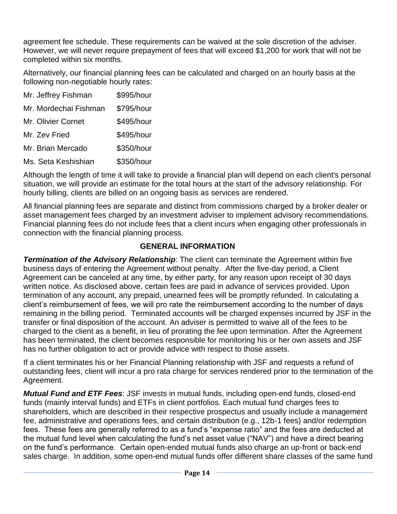agreement fee schedule. These requirements can be waived at the sole discretion of the adviser. However, we will never require prepayment of fees that will exceed \$1,200 for work that will not be completed within six months.

Alternatively, our financial planning fees can be calculated and charged on an hourly basis at the following non-negotiable hourly rates:

| Mr. Jeffrey Fishman   | \$995/hour |
|-----------------------|------------|
| Mr. Mordechai Fishman | \$795/hour |
| Mr. Olivier Cornet    | \$495/hour |
| Mr. Zev Fried         | \$495/hour |
| Mr. Brian Mercado     | \$350/hour |
| Ms. Seta Keshishian   | \$350/hour |

Although the length of time it will take to provide a financial plan will depend on each client's personal situation, we will provide an estimate for the total hours at the start of the advisory relationship. For hourly billing, clients are billed on an ongoing basis as services are rendered.

All financial planning fees are separate and distinct from commissions charged by a broker dealer or asset management fees charged by an investment adviser to implement advisory recommendations. Financial planning fees do not include fees that a client incurs when engaging other professionals in connection with the financial planning process.

## **GENERAL INFORMATION**

*Termination of the Advisory Relationship*: The client can terminate the Agreement within five business days of entering the Agreement without penalty. After the five-day period, a Client Agreement can be canceled at any time, by either party, for any reason upon receipt of 30 days written notice. As disclosed above, certain fees are paid in advance of services provided. Upon termination of any account, any prepaid, unearned fees will be promptly refunded. In calculating a client's reimbursement of fees, we will pro rate the reimbursement according to the number of days remaining in the billing period. Terminated accounts will be charged expenses incurred by JSF in the transfer or final disposition of the account. An adviser is permitted to waive all of the fees to be charged to the client as a benefit, in lieu of prorating the fee upon termination. After the Agreement has been terminated, the client becomes responsible for monitoring his or her own assets and JSF has no further obligation to act or provide advice with respect to those assets.

If a client terminates his or her Financial Planning relationship with JSF and requests a refund of outstanding fees, client will incur a pro rata charge for services rendered prior to the termination of the Agreement.

*Mutual Fund and ETF Fees*: JSF invests in mutual funds, including open-end funds, closed-end funds (mainly interval funds) and ETFs in client portfolios. Each mutual fund charges fees to shareholders, which are described in their respective prospectus and usually include a management fee, administrative and operations fees, and certain distribution (e.g., 12b-1 fees) and/or redemption fees. These fees are generally referred to as a fund's "expense ratio" and the fees are deducted at the mutual fund level when calculating the fund's net asset value ("NAV") and have a direct bearing on the fund's performance. Certain open-ended mutual funds also charge an up-front or back-end sales charge. In addition, some open-end mutual funds offer different share classes of the same fund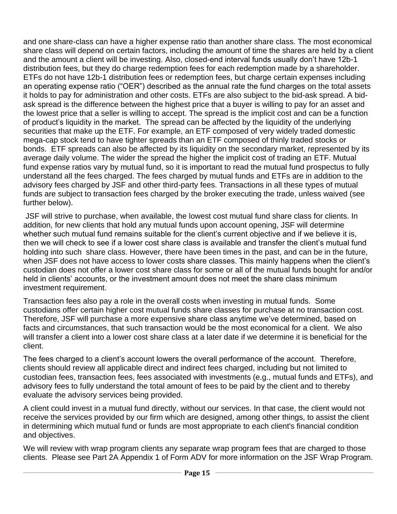and one share-class can have a higher expense ratio than another share class. The most economical share class will depend on certain factors, including the amount of time the shares are held by a client and the amount a client will be investing. Also, closed-end interval funds usually don't have 12b-1 distribution fees, but they do charge redemption fees for each redemption made by a shareholder. ETFs do not have 12b-1 distribution fees or redemption fees, but charge certain expenses including an operating expense ratio ("OER") described as the annual rate the fund charges on the total assets it holds to pay for administration and other costs. ETFs are also subject to the bid-ask spread. A bidask spread is the difference between the highest price that a buyer is willing to pay for an asset and the lowest price that a seller is willing to accept. The spread is the implicit cost and can be a function of product's liquidity in the market. The spread can be affected by the liquidity of the underlying securities that make up the ETF. For example, an ETF composed of very widely traded domestic mega-cap stock tend to have tighter spreads than an ETF composed of thinly traded stocks or bonds. ETF spreads can also be affected by its liquidity on the secondary market, represented by its average daily volume. The wider the spread the higher the implicit cost of trading an ETF. Mutual fund expense ratios vary by mutual fund, so it is important to read the mutual fund prospectus to fully understand all the fees charged. The fees charged by mutual funds and ETFs are in addition to the advisory fees charged by JSF and other third-party fees. Transactions in all these types of mutual funds are subject to transaction fees charged by the broker executing the trade, unless waived (see further below).

JSF will strive to purchase, when available, the lowest cost mutual fund share class for clients. In addition, for new clients that hold any mutual funds upon account opening, JSF will determine whether such mutual fund remains suitable for the client's current objective and if we believe it is, then we will check to see if a lower cost share class is available and transfer the client's mutual fund holding into such share class. However, there have been times in the past, and can be in the future, when JSF does not have access to lower costs share classes. This mainly happens when the client's custodian does not offer a lower cost share class for some or all of the mutual funds bought for and/or held in clients' accounts, or the investment amount does not meet the share class minimum investment requirement.

Transaction fees also pay a role in the overall costs when investing in mutual funds. Some custodians offer certain higher cost mutual funds share classes for purchase at no transaction cost. Therefore, JSF will purchase a more expensive share class anytime we've determined, based on facts and circumstances, that such transaction would be the most economical for a client. We also will transfer a client into a lower cost share class at a later date if we determine it is beneficial for the client.

The fees charged to a client's account lowers the overall performance of the account. Therefore, clients should review all applicable direct and indirect fees charged, including but not limited to custodian fees, transaction fees, fees associated with investments (e.g., mutual funds and ETFs), and advisory fees to fully understand the total amount of fees to be paid by the client and to thereby evaluate the advisory services being provided.

A client could invest in a mutual fund directly, without our services. In that case, the client would not receive the services provided by our firm which are designed, among other things, to assist the client in determining which mutual fund or funds are most appropriate to each client's financial condition and objectives.

We will review with wrap program clients any separate wrap program fees that are charged to those clients. Please see Part 2A Appendix 1 of Form ADV for more information on the JSF Wrap Program.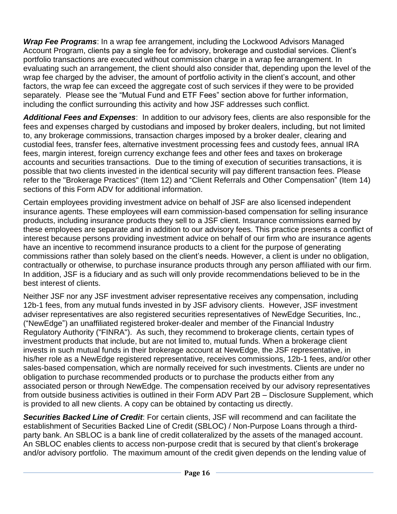*Wrap Fee Programs*: In a wrap fee arrangement, including the Lockwood Advisors Managed Account Program, clients pay a single fee for advisory, brokerage and custodial services. Client's portfolio transactions are executed without commission charge in a wrap fee arrangement. In evaluating such an arrangement, the client should also consider that, depending upon the level of the wrap fee charged by the adviser, the amount of portfolio activity in the client's account, and other factors, the wrap fee can exceed the aggregate cost of such services if they were to be provided separately. Please see the "Mutual Fund and ETF Fees" section above for further information, including the conflict surrounding this activity and how JSF addresses such conflict.

*Additional Fees and Expenses*: In addition to our advisory fees, clients are also responsible for the fees and expenses charged by custodians and imposed by broker dealers, including, but not limited to, any brokerage commissions, transaction charges imposed by a broker dealer, clearing and custodial fees, transfer fees, alternative investment processing fees and custody fees, annual IRA fees, margin interest, foreign currency exchange fees and other fees and taxes on brokerage accounts and securities transactions. Due to the timing of execution of securities transactions, it is possible that two clients invested in the identical security will pay different transaction fees. Please refer to the "Brokerage Practices" (Item 12) and "Client Referrals and Other Compensation" (Item 14) sections of this Form ADV for additional information.

Certain employees providing investment advice on behalf of JSF are also licensed independent insurance agents. These employees will earn commission-based compensation for selling insurance products, including insurance products they sell to a JSF client. Insurance commissions earned by these employees are separate and in addition to our advisory fees. This practice presents a conflict of interest because persons providing investment advice on behalf of our firm who are insurance agents have an incentive to recommend insurance products to a client for the purpose of generating commissions rather than solely based on the client's needs. However, a client is under no obligation, contractually or otherwise, to purchase insurance products through any person affiliated with our firm. In addition, JSF is a fiduciary and as such will only provide recommendations believed to be in the best interest of clients.

Neither JSF nor any JSF investment adviser representative receives any compensation, including 12b-1 fees, from any mutual funds invested in by JSF advisory clients. However, JSF investment adviser representatives are also registered securities representatives of NewEdge Securities, Inc., ("NewEdge") an unaffiliated registered broker-dealer and member of the Financial Industry Regulatory Authority ("FINRA"). As such, they recommend to brokerage clients, certain types of investment products that include, but are not limited to, mutual funds. When a brokerage client invests in such mutual funds in their brokerage account at NewEdge, the JSF representative, in his/her role as a NewEdge registered representative, receives commissions, 12b-1 fees, and/or other sales-based compensation, which are normally received for such investments. Clients are under no obligation to purchase recommended products or to purchase the products either from any associated person or through NewEdge. The compensation received by our advisory representatives from outside business activities is outlined in their Form ADV Part 2B – Disclosure Supplement, which is provided to all new clients. A copy can be obtained by contacting us directly.

*Securities Backed Line of Credit*: For certain clients, JSF will recommend and can facilitate the establishment of Securities Backed Line of Credit (SBLOC) / Non-Purpose Loans through a thirdparty bank. An SBLOC is a bank line of credit collateralized by the assets of the managed account. An SBLOC enables clients to access non-purpose credit that is secured by that client's brokerage and/or advisory portfolio. The maximum amount of the credit given depends on the lending value of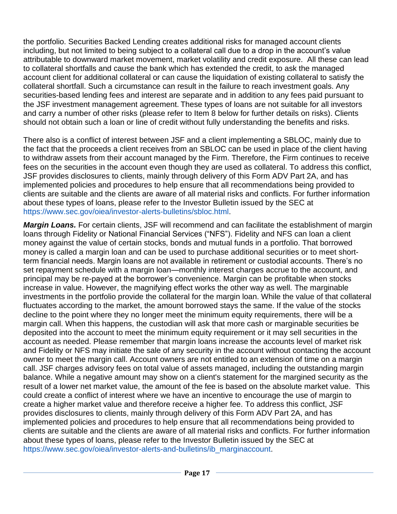the portfolio. Securities Backed Lending creates additional risks for managed account clients including, but not limited to being subject to a collateral call due to a drop in the account's value attributable to downward market movement, market volatility and credit exposure. All these can lead to collateral shortfalls and cause the bank which has extended the credit, to ask the managed account client for additional collateral or can cause the liquidation of existing collateral to satisfy the collateral shortfall. Such a circumstance can result in the failure to reach investment goals. Any securities-based lending fees and interest are separate and in addition to any fees paid pursuant to the JSF investment management agreement. These types of loans are not suitable for all investors and carry a number of other risks (please refer to Item 8 below for further details on risks). Clients should not obtain such a loan or line of credit without fully understanding the benefits and risks.

There also is a conflict of interest between JSF and a client implementing a SBLOC, mainly due to the fact that the proceeds a client receives from an SBLOC can be used in place of the client having to withdraw assets from their account managed by the Firm. Therefore, the Firm continues to receive fees on the securities in the account even though they are used as collateral. To address this conflict, JSF provides disclosures to clients, mainly through delivery of this Form ADV Part 2A, and has implemented policies and procedures to help ensure that all recommendations being provided to clients are suitable and the clients are aware of all material risks and conflicts. For further information about these types of loans, please refer to the Investor Bulletin issued by the SEC at [https://www.sec.gov/oiea/investor-alerts-bulletins/sbloc.html.](https://www.sec.gov/oiea/investor-alerts-bulletins/sbloc.html)

*Margin Loans.* For certain clients, JSF will recommend and can facilitate the establishment of margin loans through Fidelity or National Financial Services ("NFS"). Fidelity and NFS can loan a client money against the value of certain stocks, bonds and mutual funds in a portfolio. That borrowed money is called a margin loan and can be used to purchase additional securities or to meet shortterm financial needs. Margin loans are not available in retirement or custodial accounts. There's no set repayment schedule with a margin loan—monthly interest charges accrue to the account, and principal may be re-payed at the borrower's convenience. Margin can be profitable when stocks increase in value. However, the magnifying effect works the other way as well. The marginable investments in the portfolio provide the collateral for the margin loan. While the value of that collateral fluctuates according to the market, the amount borrowed stays the same. If the value of the stocks decline to the point where they no longer meet the minimum equity requirements, there will be a margin call. When this happens, the custodian will ask that more cash or marginable securities be deposited into the account to meet the minimum equity requirement or it may sell securities in the account as needed. Please remember that margin loans increase the accounts level of market risk and Fidelity or NFS may initiate the sale of any security in the account without contacting the account owner to meet the margin call. Account owners are not entitled to an extension of time on a margin call. JSF charges advisory fees on total value of assets managed, including the outstanding margin balance. While a negative amount may show on a client's statement for the margined security as the result of a lower net market value, the amount of the fee is based on the absolute market value. This could create a conflict of interest where we have an incentive to encourage the use of margin to create a higher market value and therefore receive a higher fee. To address this conflict, JSF provides disclosures to clients, mainly through delivery of this Form ADV Part 2A, and has implemented policies and procedures to help ensure that all recommendations being provided to clients are suitable and the clients are aware of all material risks and conflicts. For further information about these types of loans, please refer to the Investor Bulletin issued by the SEC at [https://www.sec.gov/oiea/investor-alerts-and-bulletins/ib\\_marginaccount.](https://www.sec.gov/oiea/investor-alerts-and-bulletins/ib_marginaccount)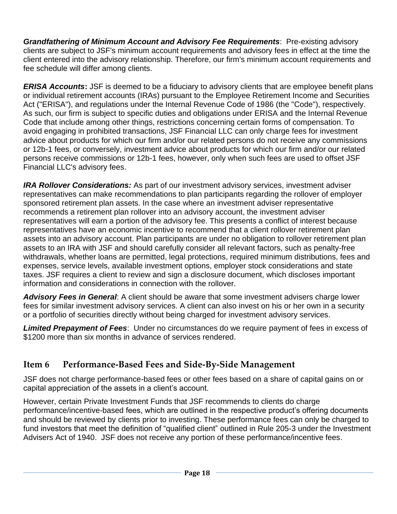*Grandfathering of Minimum Account and Advisory Fee Requirements*: Pre-existing advisory clients are subject to JSF's minimum account requirements and advisory fees in effect at the time the client entered into the advisory relationship. Therefore, our firm's minimum account requirements and fee schedule will differ among clients.

*ERISA Accounts*: JSF is deemed to be a fiduciary to advisory clients that are employee benefit plans or individual retirement accounts (IRAs) pursuant to the Employee Retirement Income and Securities Act ("ERISA"), and regulations under the Internal Revenue Code of 1986 (the "Code"), respectively. As such, our firm is subject to specific duties and obligations under ERISA and the Internal Revenue Code that include among other things, restrictions concerning certain forms of compensation. To avoid engaging in prohibited transactions, JSF Financial LLC can only charge fees for investment advice about products for which our firm and/or our related persons do not receive any commissions or 12b-1 fees, or conversely, investment advice about products for which our firm and/or our related persons receive commissions or 12b-1 fees, however, only when such fees are used to offset JSF Financial LLC's advisory fees.

*IRA Rollover Considerations:* As part of our investment advisory services, investment adviser representatives can make recommendations to plan participants regarding the rollover of employer sponsored retirement plan assets. In the case where an investment adviser representative recommends a retirement plan rollover into an advisory account, the investment adviser representatives will earn a portion of the advisory fee. This presents a conflict of interest because representatives have an economic incentive to recommend that a client rollover retirement plan assets into an advisory account. Plan participants are under no obligation to rollover retirement plan assets to an IRA with JSF and should carefully consider all relevant factors, such as penalty-free withdrawals, whether loans are permitted, legal protections, required minimum distributions, fees and expenses, service levels, available investment options, employer stock considerations and state taxes. JSF requires a client to review and sign a disclosure document, which discloses important information and considerations in connection with the rollover.

*Advisory Fees in General*: A client should be aware that some investment advisers charge lower fees for similar investment advisory services. A client can also invest on his or her own in a security or a portfolio of securities directly without being charged for investment advisory services.

*Limited Prepayment of Fees*: Under no circumstances do we require payment of fees in excess of \$1200 more than six months in advance of services rendered.

## <span id="page-17-0"></span>**Item 6 Performance-Based Fees and Side-By-Side Management**

JSF does not charge performance-based fees or other fees based on a share of capital gains on or capital appreciation of the assets in a client's account.

However, certain Private Investment Funds that JSF recommends to clients do charge performance/incentive-based fees, which are outlined in the respective product's offering documents and should be reviewed by clients prior to investing. These performance fees can only be charged to fund investors that meet the definition of "qualified client" outlined in Rule 205-3 under the Investment Advisers Act of 1940. JSF does not receive any portion of these performance/incentive fees.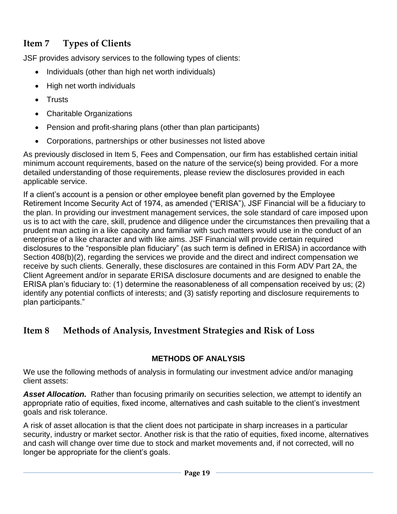# <span id="page-18-0"></span>**Item 7 Types of Clients**

JSF provides advisory services to the following types of clients:

- Individuals (other than high net worth individuals)
- High net worth individuals
- Trusts
- Charitable Organizations
- Pension and profit-sharing plans (other than plan participants)
- Corporations, partnerships or other businesses not listed above

As previously disclosed in Item 5, Fees and Compensation, our firm has established certain initial minimum account requirements, based on the nature of the service(s) being provided. For a more detailed understanding of those requirements, please review the disclosures provided in each applicable service.

If a client's account is a pension or other employee benefit plan governed by the Employee Retirement Income Security Act of 1974, as amended ("ERISA"), JSF Financial will be a fiduciary to the plan. In providing our investment management services, the sole standard of care imposed upon us is to act with the care, skill, prudence and diligence under the circumstances then prevailing that a prudent man acting in a like capacity and familiar with such matters would use in the conduct of an enterprise of a like character and with like aims. JSF Financial will provide certain required disclosures to the "responsible plan fiduciary" (as such term is defined in ERISA) in accordance with Section 408(b)(2), regarding the services we provide and the direct and indirect compensation we receive by such clients. Generally, these disclosures are contained in this Form ADV Part 2A, the Client Agreement and/or in separate ERISA disclosure documents and are designed to enable the ERISA plan's fiduciary to: (1) determine the reasonableness of all compensation received by us; (2) identify any potential conflicts of interests; and (3) satisfy reporting and disclosure requirements to plan participants."

# <span id="page-18-1"></span>**Item 8 Methods of Analysis, Investment Strategies and Risk of Loss**

## **METHODS OF ANALYSIS**

We use the following methods of analysis in formulating our investment advice and/or managing client assets:

Asset Allocation. Rather than focusing primarily on securities selection, we attempt to identify an appropriate ratio of equities, fixed income, alternatives and cash suitable to the client's investment goals and risk tolerance.

A risk of asset allocation is that the client does not participate in sharp increases in a particular security, industry or market sector. Another risk is that the ratio of equities, fixed income, alternatives and cash will change over time due to stock and market movements and, if not corrected, will no longer be appropriate for the client's goals.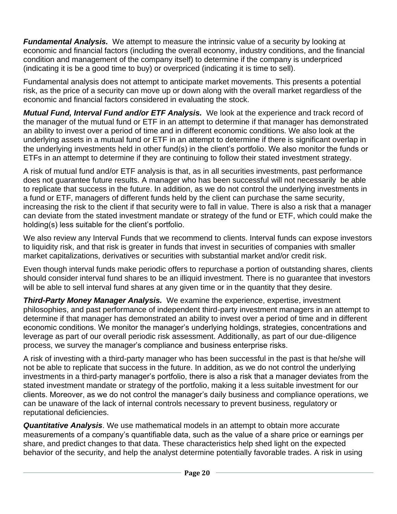*Fundamental Analysis.* We attempt to measure the intrinsic value of a security by looking at economic and financial factors (including the overall economy, industry conditions, and the financial condition and management of the company itself) to determine if the company is underpriced (indicating it is be a good time to buy) or overpriced (indicating it is time to sell).

Fundamental analysis does not attempt to anticipate market movements. This presents a potential risk, as the price of a security can move up or down along with the overall market regardless of the economic and financial factors considered in evaluating the stock.

*Mutual Fund, Interval Fund and/or ETF Analysis.* We look at the experience and track record of the manager of the mutual fund or ETF in an attempt to determine if that manager has demonstrated an ability to invest over a period of time and in different economic conditions. We also look at the underlying assets in a mutual fund or ETF in an attempt to determine if there is significant overlap in the underlying investments held in other fund(s) in the client's portfolio. We also monitor the funds or ETFs in an attempt to determine if they are continuing to follow their stated investment strategy.

A risk of mutual fund and/or ETF analysis is that, as in all securities investments, past performance does not guarantee future results. A manager who has been successful will not necessarily be able to replicate that success in the future. In addition, as we do not control the underlying investments in a fund or ETF, managers of different funds held by the client can purchase the same security, increasing the risk to the client if that security were to fall in value. There is also a risk that a manager can deviate from the stated investment mandate or strategy of the fund or ETF, which could make the holding(s) less suitable for the client's portfolio.

We also review any Interval Funds that we recommend to clients. Interval funds can expose investors to liquidity risk, and that risk is greater in funds that invest in securities of companies with smaller market capitalizations, derivatives or securities with substantial market and/or credit risk.

Even though interval funds make periodic offers to repurchase a portion of outstanding shares, clients should consider interval fund shares to be an illiquid investment. There is no guarantee that investors will be able to sell interval fund shares at any given time or in the quantity that they desire.

*Third-Party Money Manager Analysis.* We examine the experience, expertise, investment philosophies, and past performance of independent third-party investment managers in an attempt to determine if that manager has demonstrated an ability to invest over a period of time and in different economic conditions. We monitor the manager's underlying holdings, strategies, concentrations and leverage as part of our overall periodic risk assessment. Additionally, as part of our due-diligence process, we survey the manager's compliance and business enterprise risks.

A risk of investing with a third-party manager who has been successful in the past is that he/she will not be able to replicate that success in the future. In addition, as we do not control the underlying investments in a third-party manager's portfolio, there is also a risk that a manager deviates from the stated investment mandate or strategy of the portfolio, making it a less suitable investment for our clients. Moreover, as we do not control the manager's daily business and compliance operations, we can be unaware of the lack of internal controls necessary to prevent business, regulatory or reputational deficiencies.

*Quantitative Analysis*. We use mathematical models in an attempt to obtain more accurate measurements of a company's quantifiable data, such as the value of a share price or earnings per share, and predict changes to that data. These characteristics help shed light on the expected behavior of the security, and help the analyst determine potentially favorable trades. A risk in using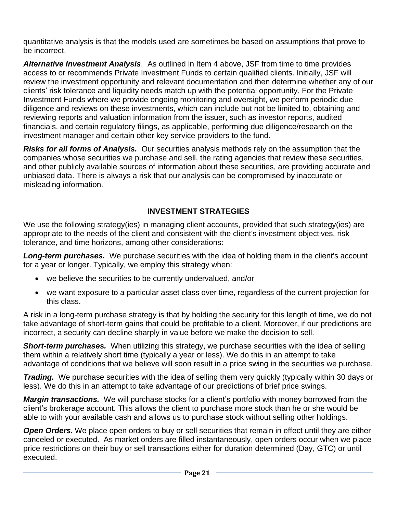quantitative analysis is that the models used are sometimes be based on assumptions that prove to be incorrect.

*Alternative Investment Analysis*. As outlined in Item 4 above, JSF from time to time provides access to or recommends Private Investment Funds to certain qualified clients. Initially, JSF will review the investment opportunity and relevant documentation and then determine whether any of our clients' risk tolerance and liquidity needs match up with the potential opportunity. For the Private Investment Funds where we provide ongoing monitoring and oversight, we perform periodic due diligence and reviews on these investments, which can include but not be limited to, obtaining and reviewing reports and valuation information from the issuer, such as investor reports, audited financials, and certain regulatory filings, as applicable, performing due diligence/research on the investment manager and certain other key service providers to the fund.

*Risks for all forms of Analysis.* Our securities analysis methods rely on the assumption that the companies whose securities we purchase and sell, the rating agencies that review these securities, and other publicly available sources of information about these securities, are providing accurate and unbiased data. There is always a risk that our analysis can be compromised by inaccurate or misleading information.

## **INVESTMENT STRATEGIES**

We use the following strategy(ies) in managing client accounts, provided that such strategy(ies) are appropriate to the needs of the client and consistent with the client's investment objectives, risk tolerance, and time horizons, among other considerations:

Long-term purchases. We purchase securities with the idea of holding them in the client's account for a year or longer. Typically, we employ this strategy when:

- we believe the securities to be currently undervalued, and/or
- we want exposure to a particular asset class over time, regardless of the current projection for this class.

A risk in a long-term purchase strategy is that by holding the security for this length of time, we do not take advantage of short-term gains that could be profitable to a client. Moreover, if our predictions are incorrect, a security can decline sharply in value before we make the decision to sell.

*Short-term purchases.* When utilizing this strategy, we purchase securities with the idea of selling them within a relatively short time (typically a year or less). We do this in an attempt to take advantage of conditions that we believe will soon result in a price swing in the securities we purchase.

*Trading.* We purchase securities with the idea of selling them very quickly (typically within 30 days or less). We do this in an attempt to take advantage of our predictions of brief price swings.

*Margin transactions.* We will purchase stocks for a client's portfolio with money borrowed from the client's brokerage account. This allows the client to purchase more stock than he or she would be able to with your available cash and allows us to purchase stock without selling other holdings.

*Open Orders.* We place open orders to buy or sell securities that remain in effect until they are either canceled or executed. As market orders are filled instantaneously, open orders occur when we place price restrictions on their buy or sell transactions either for duration determined (Day, GTC) or until executed.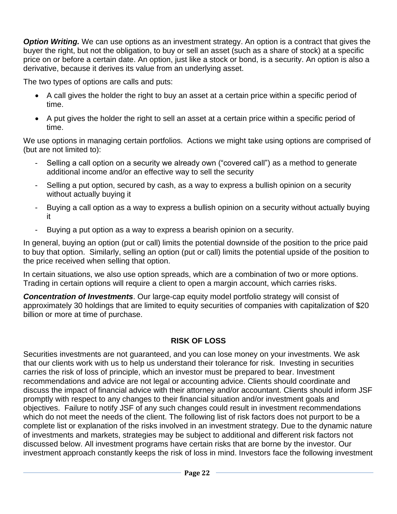**Option Writing.** We can use options as an investment strategy. An option is a contract that gives the buyer the right, but not the obligation, to buy or sell an asset (such as a share of stock) at a specific price on or before a certain date. An option, just like a stock or bond, is a security. An option is also a derivative, because it derives its value from an underlying asset.

The two types of options are calls and puts:

- A call gives the holder the right to buy an asset at a certain price within a specific period of time.
- A put gives the holder the right to sell an asset at a certain price within a specific period of time.

We use options in managing certain portfolios. Actions we might take using options are comprised of (but are not limited to):

- Selling a call option on a security we already own ("covered call") as a method to generate additional income and/or an effective way to sell the security
- Selling a put option, secured by cash, as a way to express a bullish opinion on a security without actually buying it
- Buying a call option as a way to express a bullish opinion on a security without actually buying it
- Buying a put option as a way to express a bearish opinion on a security.

In general, buying an option (put or call) limits the potential downside of the position to the price paid to buy that option. Similarly, selling an option (put or call) limits the potential upside of the position to the price received when selling that option.

In certain situations, we also use option spreads, which are a combination of two or more options. Trading in certain options will require a client to open a margin account, which carries risks.

*Concentration of Investments*. Our large-cap equity model portfolio strategy will consist of approximately 30 holdings that are limited to equity securities of companies with capitalization of \$20 billion or more at time of purchase.

## **RISK OF LOSS**

Securities investments are not guaranteed, and you can lose money on your investments. We ask that our clients work with us to help us understand their tolerance for risk. Investing in securities carries the risk of loss of principle, which an investor must be prepared to bear. Investment recommendations and advice are not legal or accounting advice. Clients should coordinate and discuss the impact of financial advice with their attorney and/or accountant. Clients should inform JSF promptly with respect to any changes to their financial situation and/or investment goals and objectives. Failure to notify JSF of any such changes could result in investment recommendations which do not meet the needs of the client. The following list of risk factors does not purport to be a complete list or explanation of the risks involved in an investment strategy. Due to the dynamic nature of investments and markets, strategies may be subject to additional and different risk factors not discussed below. All investment programs have certain risks that are borne by the investor. Our investment approach constantly keeps the risk of loss in mind. Investors face the following investment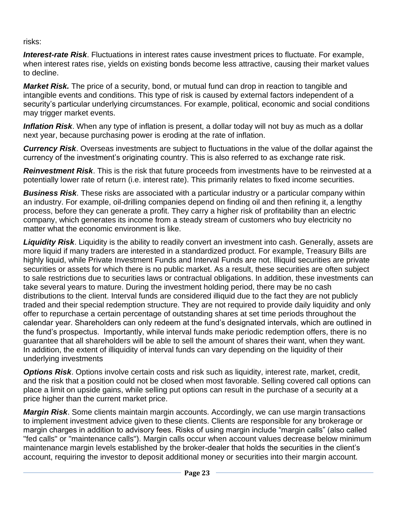risks:

*Interest-rate Risk*. Fluctuations in interest rates cause investment prices to fluctuate. For example, when interest rates rise, yields on existing bonds become less attractive, causing their market values to decline.

*Market Risk.* The price of a security, bond, or mutual fund can drop in reaction to tangible and intangible events and conditions. This type of risk is caused by external factors independent of a security's particular underlying circumstances. For example, political, economic and social conditions may trigger market events.

*Inflation Risk*. When any type of inflation is present, a dollar today will not buy as much as a dollar next year, because purchasing power is eroding at the rate of inflation.

*Currency Risk*. Overseas investments are subject to fluctuations in the value of the dollar against the currency of the investment's originating country. This is also referred to as exchange rate risk.

*Reinvestment Risk*. This is the risk that future proceeds from investments have to be reinvested at a potentially lower rate of return (i.e. interest rate). This primarily relates to fixed income securities.

*Business Risk*. These risks are associated with a particular industry or a particular company within an industry. For example, oil-drilling companies depend on finding oil and then refining it, a lengthy process, before they can generate a profit. They carry a higher risk of profitability than an electric company, which generates its income from a steady stream of customers who buy electricity no matter what the economic environment is like.

*Liquidity Risk*. Liquidity is the ability to readily convert an investment into cash. Generally, assets are more liquid if many traders are interested in a standardized product. For example, Treasury Bills are highly liquid, while Private Investment Funds and Interval Funds are not. Illiquid securities are private securities or assets for which there is no public market. As a result, these securities are often subject to sale restrictions due to securities laws or contractual obligations. In addition, these investments can take several years to mature. During the investment holding period, there may be no cash distributions to the client. Interval funds are considered illiquid due to the fact they are not publicly traded and their special redemption structure. They are not required to provide daily liquidity and only offer to repurchase a certain percentage of outstanding shares at set time periods throughout the calendar year. Shareholders can only redeem at the fund's designated intervals, which are outlined in the fund's prospectus. Importantly, while interval funds make periodic redemption offers, there is no guarantee that all shareholders will be able to sell the amount of shares their want, when they want. In addition, the extent of illiquidity of interval funds can vary depending on the liquidity of their underlying investments

**Options Risk**. Options involve certain costs and risk such as liquidity, interest rate, market, credit, and the risk that a position could not be closed when most favorable. Selling covered call options can place a limit on upside gains, while selling put options can result in the purchase of a security at a price higher than the current market price.

*Margin Risk*. Some clients maintain margin accounts. Accordingly, we can use margin transactions to implement investment advice given to these clients. Clients are responsible for any brokerage or margin charges in addition to advisory fees. Risks of using margin include "margin calls" (also called "fed calls" or "maintenance calls"). Margin calls occur when account values decrease below minimum maintenance margin levels established by the broker-dealer that holds the securities in the client's account, requiring the investor to deposit additional money or securities into their margin account.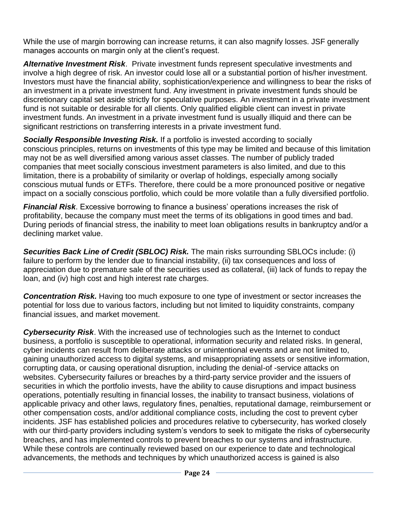While the use of margin borrowing can increase returns, it can also magnify losses. JSF generally manages accounts on margin only at the client's request.

*Alternative Investment Risk*. Private investment funds represent speculative investments and involve a high degree of risk. An investor could lose all or a substantial portion of his/her investment. Investors must have the financial ability, sophistication/experience and willingness to bear the risks of an investment in a private investment fund. Any investment in private investment funds should be discretionary capital set aside strictly for speculative purposes. An investment in a private investment fund is not suitable or desirable for all clients. Only qualified eligible client can invest in private investment funds. An investment in a private investment fund is usually illiquid and there can be significant restrictions on transferring interests in a private investment fund.

**Socially Responsible Investing Risk.** If a portfolio is invested according to socially conscious principles, returns on investments of this type may be limited and because of this limitation may not be as well diversified among various asset classes. The number of publicly traded companies that meet socially conscious investment parameters is also limited, and due to this limitation, there is a probability of similarity or overlap of holdings, especially among socially conscious mutual funds or ETFs. Therefore, there could be a more pronounced positive or negative impact on a socially conscious portfolio, which could be more volatile than a fully diversified portfolio.

*Financial Risk*. Excessive borrowing to finance a business' operations increases the risk of profitability, because the company must meet the terms of its obligations in good times and bad. During periods of financial stress, the inability to meet loan obligations results in bankruptcy and/or a declining market value.

*Securities Back Line of Credit (SBLOC) Risk.* The main risks surrounding SBLOCs include: (i) failure to perform by the lender due to financial instability, (ii) tax consequences and loss of appreciation due to premature sale of the securities used as collateral, (iii) lack of funds to repay the loan, and (iv) high cost and high interest rate charges.

*Concentration Risk.* Having too much exposure to one type of investment or sector increases the potential for loss due to various factors, including but not limited to liquidity constraints, company financial issues, and market movement.

*Cybersecurity Risk*. With the increased use of technologies such as the Internet to conduct business, a portfolio is susceptible to operational, information security and related risks. In general, cyber incidents can result from deliberate attacks or unintentional events and are not limited to, gaining unauthorized access to digital systems, and misappropriating assets or sensitive information, corrupting data, or causing operational disruption, including the denial-of -service attacks on websites. Cybersecurity failures or breaches by a third-party service provider and the issuers of securities in which the portfolio invests, have the ability to cause disruptions and impact business operations, potentially resulting in financial losses, the inability to transact business, violations of applicable privacy and other laws, regulatory fines, penalties, reputational damage, reimbursement or other compensation costs, and/or additional compliance costs, including the cost to prevent cyber incidents. JSF has established policies and procedures relative to cybersecurity, has worked closely with our third-party providers including system's vendors to seek to mitigate the risks of cybersecurity breaches, and has implemented controls to prevent breaches to our systems and infrastructure. While these controls are continually reviewed based on our experience to date and technological advancements, the methods and techniques by which unauthorized access is gained is also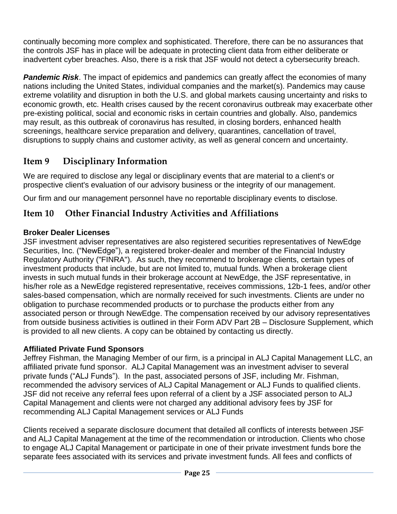continually becoming more complex and sophisticated. Therefore, there can be no assurances that the controls JSF has in place will be adequate in protecting client data from either deliberate or inadvertent cyber breaches. Also, there is a risk that JSF would not detect a cybersecurity breach.

*Pandemic Risk*. The impact of epidemics and pandemics can greatly affect the economies of many nations including the United States, individual companies and the market(s). Pandemics may cause extreme volatility and disruption in both the U.S. and global markets causing uncertainty and risks to economic growth, etc. Health crises caused by the recent coronavirus outbreak may exacerbate other pre-existing political, social and economic risks in certain countries and globally. Also, pandemics may result, as this outbreak of coronavirus has resulted, in closing borders, enhanced health screenings, healthcare service preparation and delivery, quarantines, cancellation of travel, disruptions to supply chains and customer activity, as well as general concern and uncertainty.

# <span id="page-24-0"></span>**Item 9 Disciplinary Information**

We are required to disclose any legal or disciplinary events that are material to a client's or prospective client's evaluation of our advisory business or the integrity of our management.

Our firm and our management personnel have no reportable disciplinary events to disclose.

# <span id="page-24-1"></span>**Item 10 Other Financial Industry Activities and Affiliations**

## **Broker Dealer Licenses**

JSF investment adviser representatives are also registered securities representatives of NewEdge Securities, Inc. ("NewEdge"), a registered broker-dealer and member of the Financial Industry Regulatory Authority ("FINRA"). As such, they recommend to brokerage clients, certain types of investment products that include, but are not limited to, mutual funds. When a brokerage client invests in such mutual funds in their brokerage account at NewEdge, the JSF representative, in his/her role as a NewEdge registered representative, receives commissions, 12b-1 fees, and/or other sales-based compensation, which are normally received for such investments. Clients are under no obligation to purchase recommended products or to purchase the products either from any associated person or through NewEdge. The compensation received by our advisory representatives from outside business activities is outlined in their Form ADV Part 2B – Disclosure Supplement, which is provided to all new clients. A copy can be obtained by contacting us directly.

## **Affiliated Private Fund Sponsors**

Jeffrey Fishman, the Managing Member of our firm, is a principal in ALJ Capital Management LLC, an affiliated private fund sponsor. ALJ Capital Management was an investment adviser to several private funds ("ALJ Funds"). In the past, associated persons of JSF, including Mr. Fishman, recommended the advisory services of ALJ Capital Management or ALJ Funds to qualified clients. JSF did not receive any referral fees upon referral of a client by a JSF associated person to ALJ Capital Management and clients were not charged any additional advisory fees by JSF for recommending ALJ Capital Management services or ALJ Funds

Clients received a separate disclosure document that detailed all conflicts of interests between JSF and ALJ Capital Management at the time of the recommendation or introduction. Clients who chose to engage ALJ Capital Management or participate in one of their private investment funds bore the separate fees associated with its services and private investment funds. All fees and conflicts of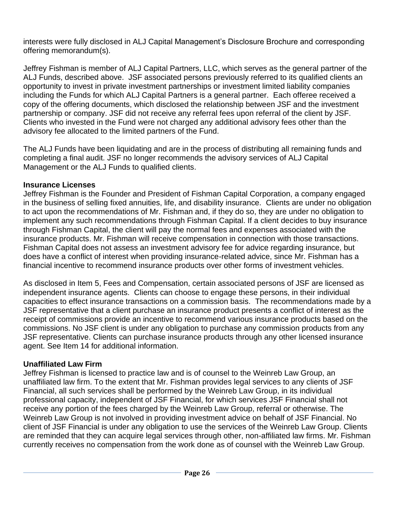interests were fully disclosed in ALJ Capital Management's Disclosure Brochure and corresponding offering memorandum(s).

Jeffrey Fishman is member of ALJ Capital Partners, LLC, which serves as the general partner of the ALJ Funds, described above. JSF associated persons previously referred to its qualified clients an opportunity to invest in private investment partnerships or investment limited liability companies including the Funds for which ALJ Capital Partners is a general partner. Each offeree received a copy of the offering documents, which disclosed the relationship between JSF and the investment partnership or company. JSF did not receive any referral fees upon referral of the client by JSF. Clients who invested in the Fund were not charged any additional advisory fees other than the advisory fee allocated to the limited partners of the Fund.

The ALJ Funds have been liquidating and are in the process of distributing all remaining funds and completing a final audit. JSF no longer recommends the advisory services of ALJ Capital Management or the ALJ Funds to qualified clients.

#### **Insurance Licenses**

Jeffrey Fishman is the Founder and President of Fishman Capital Corporation, a company engaged in the business of selling fixed annuities, life, and disability insurance. Clients are under no obligation to act upon the recommendations of Mr. Fishman and, if they do so, they are under no obligation to implement any such recommendations through Fishman Capital. If a client decides to buy insurance through Fishman Capital, the client will pay the normal fees and expenses associated with the insurance products. Mr. Fishman will receive compensation in connection with those transactions. Fishman Capital does not assess an investment advisory fee for advice regarding insurance, but does have a conflict of interest when providing insurance-related advice, since Mr. Fishman has a financial incentive to recommend insurance products over other forms of investment vehicles.

As disclosed in Item 5, Fees and Compensation, certain associated persons of JSF are licensed as independent insurance agents. Clients can choose to engage these persons, in their individual capacities to effect insurance transactions on a commission basis. The recommendations made by a JSF representative that a client purchase an insurance product presents a conflict of interest as the receipt of commissions provide an incentive to recommend various insurance products based on the commissions. No JSF client is under any obligation to purchase any commission products from any JSF representative. Clients can purchase insurance products through any other licensed insurance agent. See Item 14 for additional information.

#### **Unaffiliated Law Firm**

Jeffrey Fishman is licensed to practice law and is of counsel to the Weinreb Law Group, an unaffiliated law firm. To the extent that Mr. Fishman provides legal services to any clients of JSF Financial, all such services shall be performed by the Weinreb Law Group, in its individual professional capacity, independent of JSF Financial, for which services JSF Financial shall not receive any portion of the fees charged by the Weinreb Law Group, referral or otherwise. The Weinreb Law Group is not involved in providing investment advice on behalf of JSF Financial. No client of JSF Financial is under any obligation to use the services of the Weinreb Law Group. Clients are reminded that they can acquire legal services through other, non-affiliated law firms. Mr. Fishman currently receives no compensation from the work done as of counsel with the Weinreb Law Group.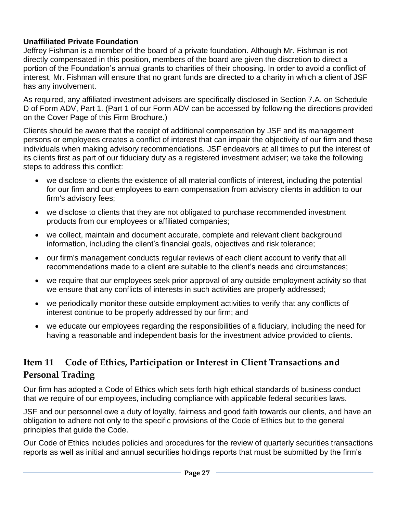## **Unaffiliated Private Foundation**

Jeffrey Fishman is a member of the board of a private foundation. Although Mr. Fishman is not directly compensated in this position, members of the board are given the discretion to direct a portion of the Foundation's annual grants to charities of their choosing. In order to avoid a conflict of interest, Mr. Fishman will ensure that no grant funds are directed to a charity in which a client of JSF has any involvement.

As required, any affiliated investment advisers are specifically disclosed in Section 7.A. on Schedule D of Form ADV, Part 1. (Part 1 of our Form ADV can be accessed by following the directions provided on the Cover Page of this Firm Brochure.)

Clients should be aware that the receipt of additional compensation by JSF and its management persons or employees creates a conflict of interest that can impair the objectivity of our firm and these individuals when making advisory recommendations. JSF endeavors at all times to put the interest of its clients first as part of our fiduciary duty as a registered investment adviser; we take the following steps to address this conflict:

- we disclose to clients the existence of all material conflicts of interest, including the potential for our firm and our employees to earn compensation from advisory clients in addition to our firm's advisory fees;
- we disclose to clients that they are not obligated to purchase recommended investment products from our employees or affiliated companies;
- we collect, maintain and document accurate, complete and relevant client background information, including the client's financial goals, objectives and risk tolerance;
- our firm's management conducts regular reviews of each client account to verify that all recommendations made to a client are suitable to the client's needs and circumstances;
- we require that our employees seek prior approval of any outside employment activity so that we ensure that any conflicts of interests in such activities are properly addressed;
- we periodically monitor these outside employment activities to verify that any conflicts of interest continue to be properly addressed by our firm; and
- we educate our employees regarding the responsibilities of a fiduciary, including the need for having a reasonable and independent basis for the investment advice provided to clients.

# <span id="page-26-0"></span>**Item 11 Code of Ethics, Participation or Interest in Client Transactions and Personal Trading**

Our firm has adopted a Code of Ethics which sets forth high ethical standards of business conduct that we require of our employees, including compliance with applicable federal securities laws.

JSF and our personnel owe a duty of loyalty, fairness and good faith towards our clients, and have an obligation to adhere not only to the specific provisions of the Code of Ethics but to the general principles that guide the Code.

Our Code of Ethics includes policies and procedures for the review of quarterly securities transactions reports as well as initial and annual securities holdings reports that must be submitted by the firm's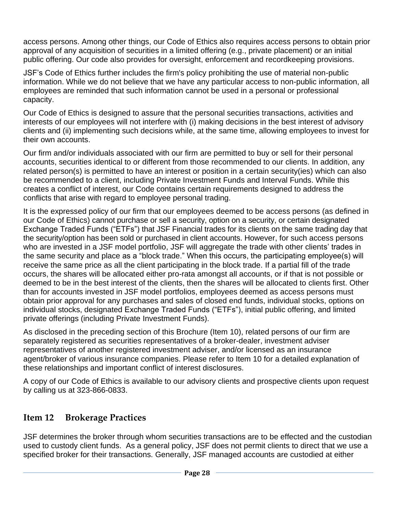access persons. Among other things, our Code of Ethics also requires access persons to obtain prior approval of any acquisition of securities in a limited offering (e.g., private placement) or an initial public offering. Our code also provides for oversight, enforcement and recordkeeping provisions.

JSF's Code of Ethics further includes the firm's policy prohibiting the use of material non-public information. While we do not believe that we have any particular access to non-public information, all employees are reminded that such information cannot be used in a personal or professional capacity.

Our Code of Ethics is designed to assure that the personal securities transactions, activities and interests of our employees will not interfere with (i) making decisions in the best interest of advisory clients and (ii) implementing such decisions while, at the same time, allowing employees to invest for their own accounts.

Our firm and/or individuals associated with our firm are permitted to buy or sell for their personal accounts, securities identical to or different from those recommended to our clients. In addition, any related person(s) is permitted to have an interest or position in a certain security(ies) which can also be recommended to a client, including Private Investment Funds and Interval Funds. While this creates a conflict of interest, our Code contains certain requirements designed to address the conflicts that arise with regard to employee personal trading.

It is the expressed policy of our firm that our employees deemed to be access persons (as defined in our Code of Ethics) cannot purchase or sell a security, option on a security, or certain designated Exchange Traded Funds ("ETFs") that JSF Financial trades for its clients on the same trading day that the security/option has been sold or purchased in client accounts. However, for such access persons who are invested in a JSF model portfolio, JSF will aggregate the trade with other clients' trades in the same security and place as a "block trade." When this occurs, the participating employee(s) will receive the same price as all the client participating in the block trade. If a partial fill of the trade occurs, the shares will be allocated either pro-rata amongst all accounts, or if that is not possible or deemed to be in the best interest of the clients, then the shares will be allocated to clients first. Other than for accounts invested in JSF model portfolios, employees deemed as access persons must obtain prior approval for any purchases and sales of closed end funds, individual stocks, options on individual stocks, designated Exchange Traded Funds ("ETFs"), initial public offering, and limited private offerings (including Private Investment Funds).

As disclosed in the preceding section of this Brochure (Item 10), related persons of our firm are separately registered as securities representatives of a broker-dealer, investment adviser representatives of another registered investment adviser, and/or licensed as an insurance agent/broker of various insurance companies. Please refer to Item 10 for a detailed explanation of these relationships and important conflict of interest disclosures.

A copy of our Code of Ethics is available to our advisory clients and prospective clients upon request by calling us at 323-866-0833.

# <span id="page-27-0"></span>**Item 12 Brokerage Practices**

JSF determines the broker through whom securities transactions are to be effected and the custodian used to custody client funds. As a general policy, JSF does not permit clients to direct that we use a specified broker for their transactions. Generally, JSF managed accounts are custodied at either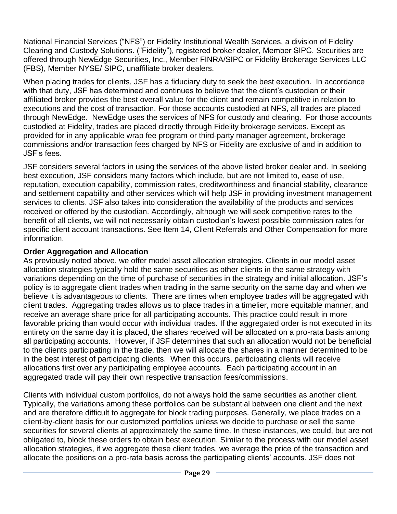National Financial Services ("NFS") or Fidelity Institutional Wealth Services, a division of Fidelity Clearing and Custody Solutions. ("Fidelity"), registered broker dealer, Member SIPC. Securities are offered through NewEdge Securities, Inc., Member FINRA/SIPC or Fidelity Brokerage Services LLC (FBS), Member NYSE/ SIPC, unaffiliate broker dealers.

When placing trades for clients, JSF has a fiduciary duty to seek the best execution. In accordance with that duty. JSF has determined and continues to believe that the client's custodian or their affiliated broker provides the best overall value for the client and remain competitive in relation to executions and the cost of transaction. For those accounts custodied at NFS, all trades are placed through NewEdge. NewEdge uses the services of NFS for custody and clearing. For those accounts custodied at Fidelity, trades are placed directly through Fidelity brokerage services. Except as provided for in any applicable wrap fee program or third-party manager agreement, brokerage commissions and/or transaction fees charged by NFS or Fidelity are exclusive of and in addition to JSF's fees.

JSF considers several factors in using the services of the above listed broker dealer and. In seeking best execution, JSF considers many factors which include, but are not limited to, ease of use, reputation, execution capability, commission rates, creditworthiness and financial stability, clearance and settlement capability and other services which will help JSF in providing investment management services to clients. JSF also takes into consideration the availability of the products and services received or offered by the custodian. Accordingly, although we will seek competitive rates to the benefit of all clients, we will not necessarily obtain custodian's lowest possible commission rates for specific client account transactions. See Item 14, Client Referrals and Other Compensation for more information.

## **Order Aggregation and Allocation**

As previously noted above, we offer model asset allocation strategies. Clients in our model asset allocation strategies typically hold the same securities as other clients in the same strategy with variations depending on the time of purchase of securities in the strategy and initial allocation. JSF's policy is to aggregate client trades when trading in the same security on the same day and when we believe it is advantageous to clients. There are times when employee trades will be aggregated with client trades. Aggregating trades allows us to place trades in a timelier, more equitable manner, and receive an average share price for all participating accounts. This practice could result in more favorable pricing than would occur with individual trades. If the aggregated order is not executed in its entirety on the same day it is placed, the shares received will be allocated on a pro-rata basis among all participating accounts. However, if JSF determines that such an allocation would not be beneficial to the clients participating in the trade, then we will allocate the shares in a manner determined to be in the best interest of participating clients. When this occurs, participating clients will receive allocations first over any participating employee accounts. Each participating account in an aggregated trade will pay their own respective transaction fees/commissions.

Clients with individual custom portfolios, do not always hold the same securities as another client. Typically, the variations among these portfolios can be substantial between one client and the next and are therefore difficult to aggregate for block trading purposes. Generally, we place trades on a client-by-client basis for our customized portfolios unless we decide to purchase or sell the same securities for several clients at approximately the same time. In these instances, we could, but are not obligated to, block these orders to obtain best execution. Similar to the process with our model asset allocation strategies, if we aggregate these client trades, we average the price of the transaction and allocate the positions on a pro-rata basis across the participating clients' accounts. JSF does not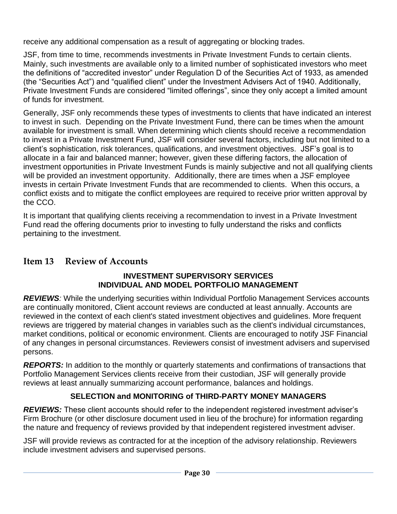receive any additional compensation as a result of aggregating or blocking trades.

JSF, from time to time, recommends investments in Private Investment Funds to certain clients. Mainly, such investments are available only to a limited number of sophisticated investors who meet the definitions of "accredited investor" under Regulation D of the Securities Act of 1933, as amended (the "Securities Act") and "qualified client" under the Investment Advisers Act of 1940. Additionally, Private Investment Funds are considered "limited offerings", since they only accept a limited amount of funds for investment.

Generally, JSF only recommends these types of investments to clients that have indicated an interest to invest in such. Depending on the Private Investment Fund, there can be times when the amount available for investment is small. When determining which clients should receive a recommendation to invest in a Private Investment Fund, JSF will consider several factors, including but not limited to a client's sophistication, risk tolerances, qualifications, and investment objectives. JSF's goal is to allocate in a fair and balanced manner; however, given these differing factors, the allocation of investment opportunities in Private Investment Funds is mainly subjective and not all qualifying clients will be provided an investment opportunity. Additionally, there are times when a JSF employee invests in certain Private Investment Funds that are recommended to clients. When this occurs, a conflict exists and to mitigate the conflict employees are required to receive prior written approval by the CCO.

It is important that qualifying clients receiving a recommendation to invest in a Private Investment Fund read the offering documents prior to investing to fully understand the risks and conflicts pertaining to the investment.

# <span id="page-29-0"></span>**Item 13 Review of Accounts**

## **INVESTMENT SUPERVISORY SERVICES INDIVIDUAL AND MODEL PORTFOLIO MANAGEMENT**

*REVIEWS:* While the underlying securities within Individual Portfolio Management Services accounts are continually monitored, Client account reviews are conducted at least annually. Accounts are reviewed in the context of each client's stated investment objectives and guidelines. More frequent reviews are triggered by material changes in variables such as the client's individual circumstances, market conditions, political or economic environment. Clients are encouraged to notify JSF Financial of any changes in personal circumstances. Reviewers consist of investment advisers and supervised persons.

*REPORTS:* In addition to the monthly or quarterly statements and confirmations of transactions that Portfolio Management Services clients receive from their custodian, JSF will generally provide reviews at least annually summarizing account performance, balances and holdings.

## **SELECTION and MONITORING of THIRD-PARTY MONEY MANAGERS**

*REVIEWS:* These client accounts should refer to the independent registered investment adviser's Firm Brochure (or other disclosure document used in lieu of the brochure) for information regarding the nature and frequency of reviews provided by that independent registered investment adviser.

JSF will provide reviews as contracted for at the inception of the advisory relationship. Reviewers include investment advisers and supervised persons.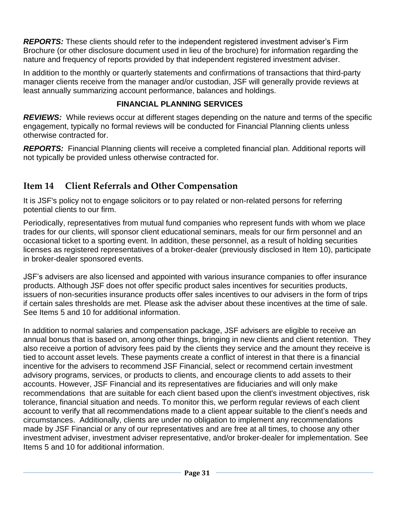*REPORTS:* These clients should refer to the independent registered investment adviser's Firm Brochure (or other disclosure document used in lieu of the brochure) for information regarding the nature and frequency of reports provided by that independent registered investment adviser.

In addition to the monthly or quarterly statements and confirmations of transactions that third-party manager clients receive from the manager and/or custodian, JSF will generally provide reviews at least annually summarizing account performance, balances and holdings.

## **FINANCIAL PLANNING SERVICES**

**REVIEWS:** While reviews occur at different stages depending on the nature and terms of the specific engagement, typically no formal reviews will be conducted for Financial Planning clients unless otherwise contracted for.

*REPORTS:* Financial Planning clients will receive a completed financial plan. Additional reports will not typically be provided unless otherwise contracted for.

# <span id="page-30-0"></span>**Item 14 Client Referrals and Other Compensation**

It is JSF's policy not to engage solicitors or to pay related or non-related persons for referring potential clients to our firm.

Periodically, representatives from mutual fund companies who represent funds with whom we place trades for our clients, will sponsor client educational seminars, meals for our firm personnel and an occasional ticket to a sporting event. In addition, these personnel, as a result of holding securities licenses as registered representatives of a broker-dealer (previously disclosed in Item 10), participate in broker-dealer sponsored events.

JSF's advisers are also licensed and appointed with various insurance companies to offer insurance products. Although JSF does not offer specific product sales incentives for securities products, issuers of non-securities insurance products offer sales incentives to our advisers in the form of trips if certain sales thresholds are met. Please ask the adviser about these incentives at the time of sale. See Items 5 and 10 for additional information.

In addition to normal salaries and compensation package, JSF advisers are eligible to receive an annual bonus that is based on, among other things, bringing in new clients and client retention. They also receive a portion of advisory fees paid by the clients they service and the amount they receive is tied to account asset levels. These payments create a conflict of interest in that there is a financial incentive for the advisers to recommend JSF Financial, select or recommend certain investment advisory programs, services, or products to clients, and encourage clients to add assets to their accounts. However, JSF Financial and its representatives are fiduciaries and will only make recommendations that are suitable for each client based upon the client's investment objectives, risk tolerance, financial situation and needs. To monitor this, we perform regular reviews of each client account to verify that all recommendations made to a client appear suitable to the client's needs and circumstances. Additionally, clients are under no obligation to implement any recommendations made by JSF Financial or any of our representatives and are free at all times, to choose any other investment adviser, investment adviser representative, and/or broker-dealer for implementation. See Items 5 and 10 for additional information.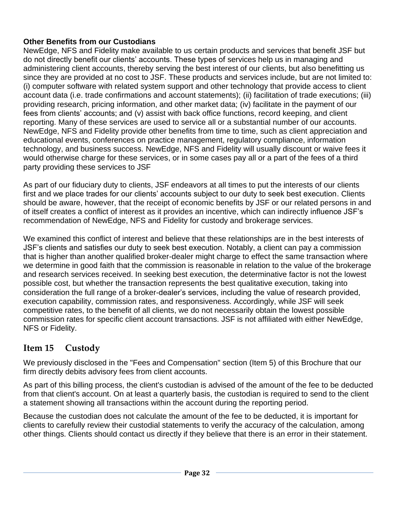## **Other Benefits from our Custodians**

NewEdge, NFS and Fidelity make available to us certain products and services that benefit JSF but do not directly benefit our clients' accounts. These types of services help us in managing and administering client accounts, thereby serving the best interest of our clients, but also benefitting us since they are provided at no cost to JSF. These products and services include, but are not limited to: (i) computer software with related system support and other technology that provide access to client account data (i.e. trade confirmations and account statements); (ii) facilitation of trade executions; (iii) providing research, pricing information, and other market data; (iv) facilitate in the payment of our fees from clients' accounts; and (v) assist with back office functions, record keeping, and client reporting. Many of these services are used to service all or a substantial number of our accounts. NewEdge, NFS and Fidelity provide other benefits from time to time, such as client appreciation and educational events, conferences on practice management, regulatory compliance, information technology, and business success. NewEdge, NFS and Fidelity will usually discount or waive fees it would otherwise charge for these services, or in some cases pay all or a part of the fees of a third party providing these services to JSF

As part of our fiduciary duty to clients, JSF endeavors at all times to put the interests of our clients first and we place trades for our clients' accounts subject to our duty to seek best execution. Clients should be aware, however, that the receipt of economic benefits by JSF or our related persons in and of itself creates a conflict of interest as it provides an incentive, which can indirectly influence JSF's recommendation of NewEdge, NFS and Fidelity for custody and brokerage services.

We examined this conflict of interest and believe that these relationships are in the best interests of JSF's clients and satisfies our duty to seek best execution. Notably, a client can pay a commission that is higher than another qualified broker-dealer might charge to effect the same transaction where we determine in good faith that the commission is reasonable in relation to the value of the brokerage and research services received. In seeking best execution, the determinative factor is not the lowest possible cost, but whether the transaction represents the best qualitative execution, taking into consideration the full range of a broker-dealer's services, including the value of research provided, execution capability, commission rates, and responsiveness. Accordingly, while JSF will seek competitive rates, to the benefit of all clients, we do not necessarily obtain the lowest possible commission rates for specific client account transactions. JSF is not affiliated with either NewEdge, NFS or Fidelity.

# <span id="page-31-0"></span>**Item 15 Custody**

We previously disclosed in the "Fees and Compensation" section (Item 5) of this Brochure that our firm directly debits advisory fees from client accounts.

As part of this billing process, the client's custodian is advised of the amount of the fee to be deducted from that client's account. On at least a quarterly basis, the custodian is required to send to the client a statement showing all transactions within the account during the reporting period.

Because the custodian does not calculate the amount of the fee to be deducted, it is important for clients to carefully review their custodial statements to verify the accuracy of the calculation, among other things. Clients should contact us directly if they believe that there is an error in their statement.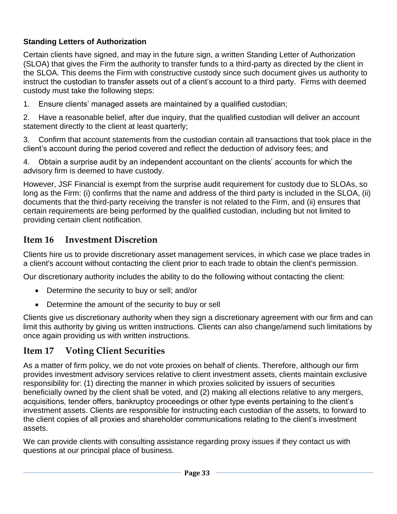## **Standing Letters of Authorization**

Certain clients have signed, and may in the future sign, a written Standing Letter of Authorization (SLOA) that gives the Firm the authority to transfer funds to a third-party as directed by the client in the SLOA. This deems the Firm with constructive custody since such document gives us authority to instruct the custodian to transfer assets out of a client's account to a third party. Firms with deemed custody must take the following steps:

1. Ensure clients' managed assets are maintained by a qualified custodian;

2. Have a reasonable belief, after due inquiry, that the qualified custodian will deliver an account statement directly to the client at least quarterly;

3. Confirm that account statements from the custodian contain all transactions that took place in the client's account during the period covered and reflect the deduction of advisory fees; and

4. Obtain a surprise audit by an independent accountant on the clients' accounts for which the advisory firm is deemed to have custody.

However, JSF Financial is exempt from the surprise audit requirement for custody due to SLOAs, so long as the Firm: (i) confirms that the name and address of the third party is included in the SLOA, (ii) documents that the third-party receiving the transfer is not related to the Firm, and (ii) ensures that certain requirements are being performed by the qualified custodian, including but not limited to providing certain client notification.

# <span id="page-32-0"></span>**Item 16 Investment Discretion**

Clients hire us to provide discretionary asset management services, in which case we place trades in a client's account without contacting the client prior to each trade to obtain the client's permission.

Our discretionary authority includes the ability to do the following without contacting the client:

- Determine the security to buy or sell; and/or
- Determine the amount of the security to buy or sell

Clients give us discretionary authority when they sign a discretionary agreement with our firm and can limit this authority by giving us written instructions. Clients can also change/amend such limitations by once again providing us with written instructions.

# <span id="page-32-1"></span>**Item 17 Voting Client Securities**

As a matter of firm policy, we do not vote proxies on behalf of clients. Therefore, although our firm provides investment advisory services relative to client investment assets, clients maintain exclusive responsibility for: (1) directing the manner in which proxies solicited by issuers of securities beneficially owned by the client shall be voted, and (2) making all elections relative to any mergers, acquisitions, tender offers, bankruptcy proceedings or other type events pertaining to the client's investment assets. Clients are responsible for instructing each custodian of the assets, to forward to the client copies of all proxies and shareholder communications relating to the client's investment assets.

We can provide clients with consulting assistance regarding proxy issues if they contact us with questions at our principal place of business.